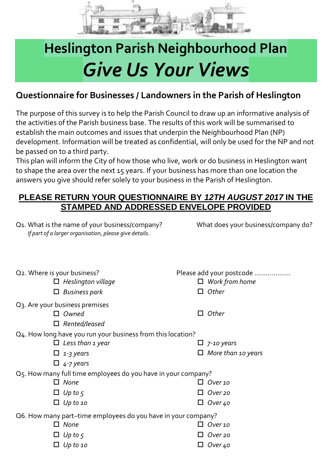

## **Heslington Parish Neighbourhood Plan** *Give Us Your Views*

## **Questionnaire for Businesses / Landowners in the Parish of Heslington**

The purpose of this survey is to help the Parish Council to draw up an informative analysis of the activities of the Parish business base. The results of this work will be summarised to establish the main outcomes and issues that underpin the Neighbourhood Plan (NP) development. Information will be treated as confidential, will only be used for the NP and not be passed on to a third party.

This plan will inform the City of how those who live, work or do business in Heslington want to shape the area over the next 15 years. If your business has more than one location the answers you give should refer solely to your business in the Parish of Heslington.

## **PLEASE RETURN YOUR QUESTIONNAIRE BY** *12TH AUGUST 2017* **IN THE STAMPED AND ADDRESSED ENVELOPE PROVIDED**

| Q1. What is the name of your business/company?         |
|--------------------------------------------------------|
| If part of a larger organisation, please give details. |

What does your business/company do?

| Q2. Where is your business?                                   | Please add your postcode  |  |  |  |
|---------------------------------------------------------------|---------------------------|--|--|--|
| $\Box$ Heslington village                                     | $\Box$ Work from home     |  |  |  |
| $\Box$ Business park                                          | $\Box$ Other              |  |  |  |
| Q3. Are your business premises                                |                           |  |  |  |
| $\Box$ Owned                                                  | $\Box$ Other              |  |  |  |
| $\Box$ Rented/leased                                          |                           |  |  |  |
| Q4. How long have you run your business from this location?   |                           |  |  |  |
| Less than 1 year<br>$\Box$                                    | $\Box$ 7-10 years         |  |  |  |
| $\Box$ 1-3 years                                              | $\Box$ More than 10 years |  |  |  |
| $\Box$ 4-7 years                                              |                           |  |  |  |
| O5. How many full time employees do you have in your company? |                           |  |  |  |
| $\Box$ None                                                   | $\Box$ Over 10            |  |  |  |
| $\Box$ Up to 5                                                | Over 20                   |  |  |  |
| $\Box$ Up to 10                                               | Over 40<br>ப              |  |  |  |
| Q6. How many part-time employees do you have in your company? |                           |  |  |  |
| $\Box$ None                                                   | Over 10                   |  |  |  |
| $\Box$ Up to 5                                                | Over 20                   |  |  |  |
| Up to 10                                                      | Over 40                   |  |  |  |
|                                                               |                           |  |  |  |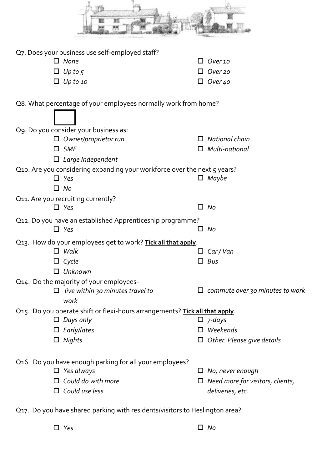| Q7. Does your business use self-employed staff?                                                               |                                                                                        |  |  |  |  |
|---------------------------------------------------------------------------------------------------------------|----------------------------------------------------------------------------------------|--|--|--|--|
| None<br>П                                                                                                     | Over 10                                                                                |  |  |  |  |
| Up to $5$                                                                                                     | Over 20                                                                                |  |  |  |  |
| Up to 10                                                                                                      | Over 40                                                                                |  |  |  |  |
| Q8. What percentage of your employees normally work from home?                                                |                                                                                        |  |  |  |  |
| Q9. Do you consider your business as:                                                                         |                                                                                        |  |  |  |  |
| Owner/proprietor run                                                                                          | National chain                                                                         |  |  |  |  |
| <b>SME</b>                                                                                                    | Multi-national                                                                         |  |  |  |  |
| Large Independent<br>$\Box$                                                                                   |                                                                                        |  |  |  |  |
| Q10. Are you considering expanding your workforce over the next 5 years?                                      |                                                                                        |  |  |  |  |
| $\Box$ Yes                                                                                                    | Maybe<br>$\Box$                                                                        |  |  |  |  |
| No<br>0                                                                                                       |                                                                                        |  |  |  |  |
| Q11. Are you recruiting currently?<br>$\Box$ Yes                                                              | No<br>П                                                                                |  |  |  |  |
| Q12. Do you have an established Apprenticeship programme?                                                     |                                                                                        |  |  |  |  |
| $\Box$ Yes                                                                                                    | No                                                                                     |  |  |  |  |
| Q13. How do your employees get to work? Tick all that apply.                                                  |                                                                                        |  |  |  |  |
| Walk                                                                                                          | $\Box$ Car/Van                                                                         |  |  |  |  |
| $\Box$ Cycle                                                                                                  | $\Box$ Bus                                                                             |  |  |  |  |
| Unknown                                                                                                       |                                                                                        |  |  |  |  |
| Q14. Do the majority of your employees-                                                                       |                                                                                        |  |  |  |  |
| live within 30 minutes travel to<br>work                                                                      | $\Box$ commute over 30 minutes to work                                                 |  |  |  |  |
| Q15. Do you operate shift or flexi-hours arrangements? Tick all that apply.                                   |                                                                                        |  |  |  |  |
| Days only                                                                                                     | $\Box$ 7-days                                                                          |  |  |  |  |
| Early/lates                                                                                                   | Weekends                                                                               |  |  |  |  |
| Nights<br>$\Box$                                                                                              | $\Box$ Other. Please give details                                                      |  |  |  |  |
| Q16. Do you have enough parking for all your employees?<br>Yes always<br>Could do with more<br>Could use less | $\Box$ No, never enough<br>$\Box$ Need more for visitors, clients,<br>deliveries, etc. |  |  |  |  |

Q17. Do you have shared parking with residents/visitors to Heslington area?

*Yes No*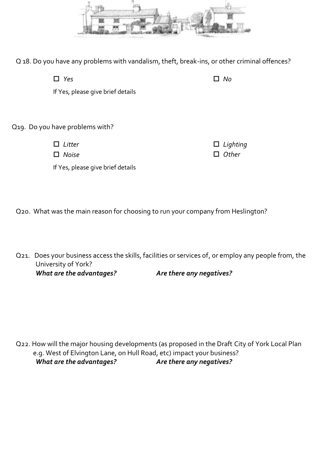

Q 18. Do you have any problems with vandalism, theft, break-ins, or other criminal offences?

| $\Box$ Yes                        | No |
|-----------------------------------|----|
| If Yes, please give brief details |    |
|                                   |    |
| Q19. Do you have problems with?   |    |

 *Litter Noise*  *Lighting Other*

If Yes, please give brief details

Q20. What was the main reason for choosing to run your company from Heslington?

Q21. Does your business access the skills, facilities or services of, or employ any people from, the University of York? *What are the advantages? Are there any negatives?*

Q22. How will the major housing developments (as proposed in the Draft City of York Local Plan e.g. West of Elvington Lane, on Hull Road, etc) impact your business? *What are the advantages? Are there any negatives?*